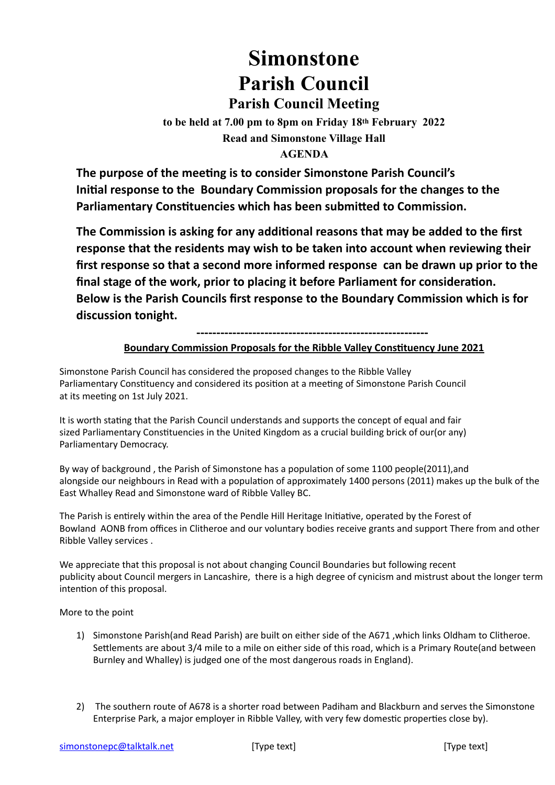## **Simonstone Parish Council Parish Council Meeting**

**to be held at 7.00 pm to 8pm on Friday 18th February 2022 Read and Simonstone Village Hall** 

## **AGENDA**

**The purpose of the meeting is to consider Simonstone Parish Council's Initial response to the Boundary Commission proposals for the changes to the Parliamentary Constituencies which has been submitted to Commission.**

**The Commission is asking for any additional reasons that may be added to the first response that the residents may wish to be taken into account when reviewing their first response so that a second more informed response can be drawn up prior to the final stage of the work, prior to placing it before Parliament for consideration. Below is the Parish Councils first response to the Boundary Commission which is for discussion tonight.**

**----------------------------------------------------------**

## **Boundary Commission Proposals for the Ribble Valley Constituency June 2021**

Simonstone Parish Council has considered the proposed changes to the Ribble Valley Parliamentary Constituency and considered its position at a meeting of Simonstone Parish Council at its meeting on 1st July 2021.

It is worth stating that the Parish Council understands and supports the concept of equal and fair sized Parliamentary Constituencies in the United Kingdom as a crucial building brick of our(or any) Parliamentary Democracy.

By way of background , the Parish of Simonstone has a population of some 1100 people(2011),and alongside our neighbours in Read with a population of approximately 1400 persons (2011) makes up the bulk of the East Whalley Read and Simonstone ward of Ribble Valley BC.

The Parish is entirely within the area of the Pendle Hill Heritage Initiative, operated by the Forest of Bowland AONB from offices in Clitheroe and our voluntary bodies receive grants and support There from and other Ribble Valley services .

We appreciate that this proposal is not about changing Council Boundaries but following recent publicity about Council mergers in Lancashire, there is a high degree of cynicism and mistrust about the longer term intention of this proposal.

## More to the point

- 1) Simonstone Parish(and Read Parish) are built on either side of the A671 ,which links Oldham to Clitheroe. Settlements are about 3/4 mile to a mile on either side of this road, which is a Primary Route(and between Burnley and Whalley) is judged one of the most dangerous roads in England).
- 2) The southern route of A678 is a shorter road between Padiham and Blackburn and serves the Simonstone Enterprise Park, a major employer in Ribble Valley, with very few domestic properties close by).